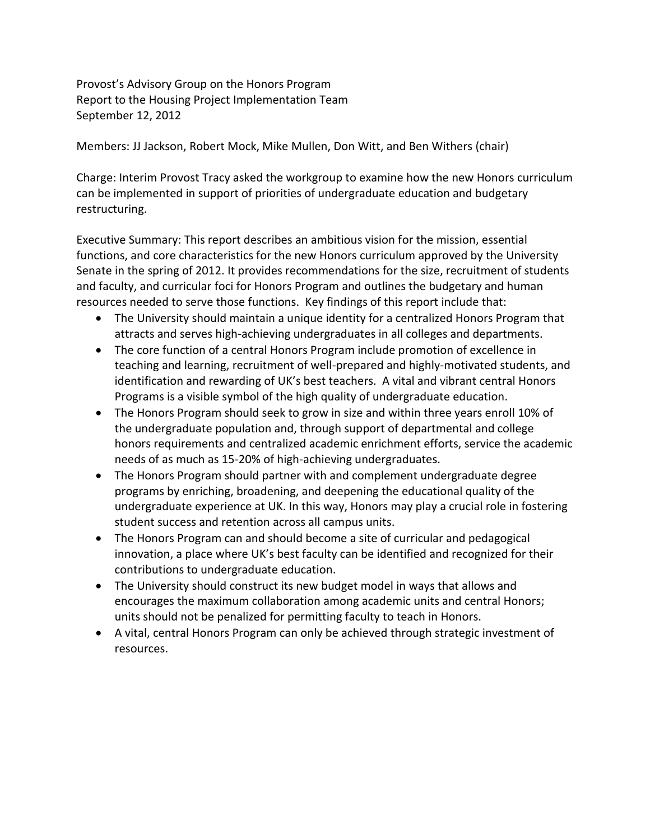Provost's Advisory Group on the Honors Program Report to the Housing Project Implementation Team September 12, 2012

Members: JJ Jackson, Robert Mock, Mike Mullen, Don Witt, and Ben Withers (chair)

Charge: Interim Provost Tracy asked the workgroup to examine how the new Honors curriculum can be implemented in support of priorities of undergraduate education and budgetary restructuring.

Executive Summary: This report describes an ambitious vision for the mission, essential functions, and core characteristics for the new Honors curriculum approved by the University Senate in the spring of 2012. It provides recommendations for the size, recruitment of students and faculty, and curricular foci for Honors Program and outlines the budgetary and human resources needed to serve those functions. Key findings of this report include that:

- The University should maintain a unique identity for a centralized Honors Program that attracts and serves high-achieving undergraduates in all colleges and departments.
- The core function of a central Honors Program include promotion of excellence in teaching and learning, recruitment of well-prepared and highly-motivated students, and identification and rewarding of UK's best teachers. A vital and vibrant central Honors Programs is a visible symbol of the high quality of undergraduate education.
- The Honors Program should seek to grow in size and within three years enroll 10% of the undergraduate population and, through support of departmental and college honors requirements and centralized academic enrichment efforts, service the academic needs of as much as 15-20% of high-achieving undergraduates.
- The Honors Program should partner with and complement undergraduate degree programs by enriching, broadening, and deepening the educational quality of the undergraduate experience at UK. In this way, Honors may play a crucial role in fostering student success and retention across all campus units.
- The Honors Program can and should become a site of curricular and pedagogical innovation, a place where UK's best faculty can be identified and recognized for their contributions to undergraduate education.
- The University should construct its new budget model in ways that allows and encourages the maximum collaboration among academic units and central Honors; units should not be penalized for permitting faculty to teach in Honors.
- A vital, central Honors Program can only be achieved through strategic investment of resources.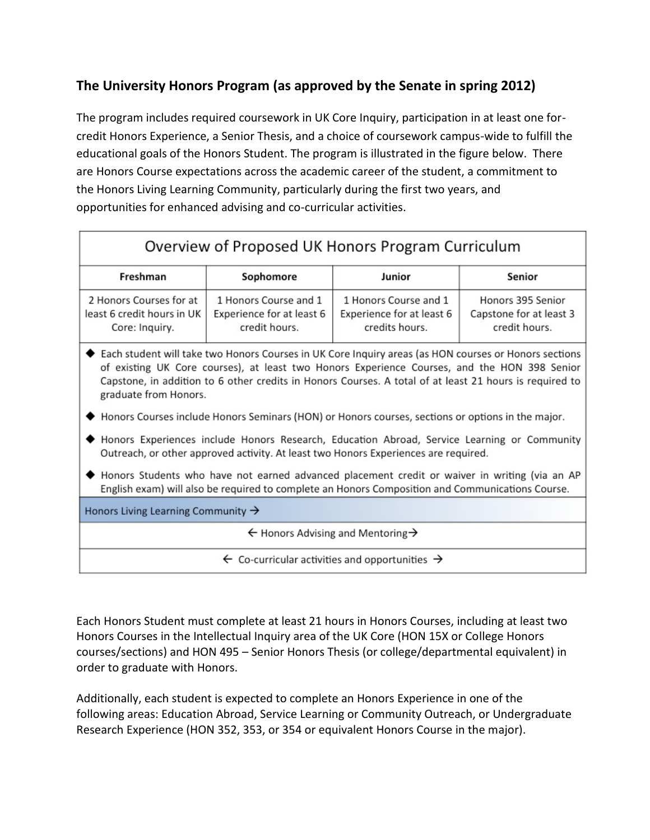# **The University Honors Program (as approved by the Senate in spring 2012)**

The program includes required coursework in UK Core Inquiry, participation in at least one forcredit Honors Experience, a Senior Thesis, and a choice of coursework campus-wide to fulfill the educational goals of the Honors Student. The program is illustrated in the figure below. There are Honors Course expectations across the academic career of the student, a commitment to the Honors Living Learning Community, particularly during the first two years, and opportunities for enhanced advising and co-curricular activities.

# Overview of Proposed UK Honors Program Curriculum

| Freshman                   | Sophomore                 | Junior                    | Senior                  |
|----------------------------|---------------------------|---------------------------|-------------------------|
| 2 Honors Courses for at    | 1 Honors Course and 1     | 1 Honors Course and 1     | Honors 395 Senior       |
| least 6 credit hours in UK | Experience for at least 6 | Experience for at least 6 | Capstone for at least 3 |
| Core: Inquiry.             | credit hours.             | credits hours.            | credit hours.           |

- ◆ Each student will take two Honors Courses in UK Core Inquiry areas (as HON courses or Honors sections of existing UK Core courses), at least two Honors Experience Courses, and the HON 398 Senior Capstone, in addition to 6 other credits in Honors Courses. A total of at least 21 hours is required to graduate from Honors.
- ♦ Honors Courses include Honors Seminars (HON) or Honors courses, sections or options in the major.
- ◆ Honors Experiences include Honors Research, Education Abroad, Service Learning or Community Outreach, or other approved activity. At least two Honors Experiences are required.
- ◆ Honors Students who have not earned advanced placement credit or waiver in writing (via an AP English exam) will also be required to complete an Honors Composition and Communications Course.

Honors Living Learning Community  $\rightarrow$ 

 $\leftarrow$  Honors Advising and Mentoring  $\rightarrow$ 

 $\leftarrow$  Co-curricular activities and opportunities  $\rightarrow$ 

Each Honors Student must complete at least 21 hours in Honors Courses, including at least two Honors Courses in the Intellectual Inquiry area of the UK Core (HON 15X or College Honors courses/sections) and HON 495 – Senior Honors Thesis (or college/departmental equivalent) in order to graduate with Honors.

Additionally, each student is expected to complete an Honors Experience in one of the following areas: Education Abroad, Service Learning or Community Outreach, or Undergraduate Research Experience (HON 352, 353, or 354 or equivalent Honors Course in the major).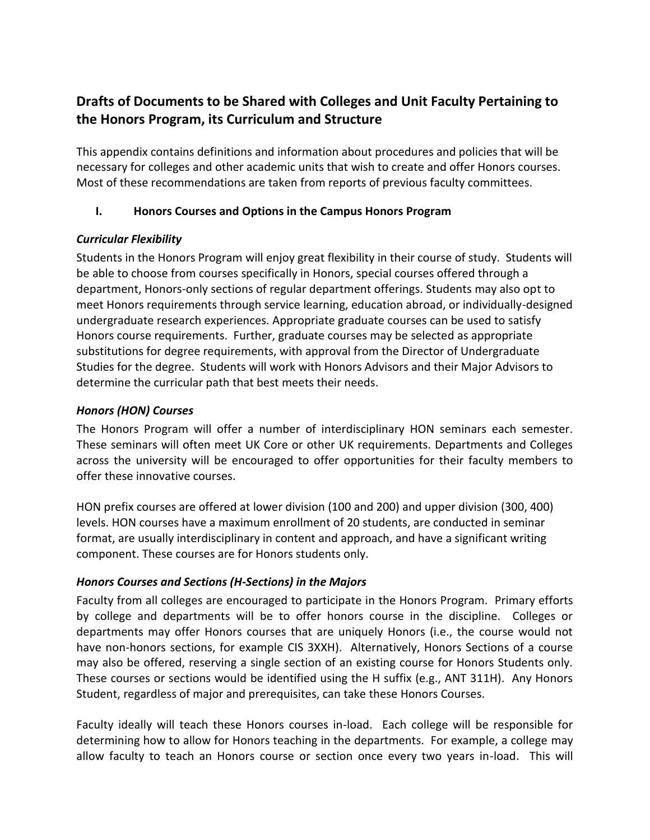# **Drafts of Documents to be Shared with Colleges and Unit Faculty Pertaining to the Honors Program, its Curriculum and Structure**

This appendix contains definitions and information about procedures and policies that will be necessary for colleges and other academic units that wish to create and offer Honors courses. Most of these recommendations are taken from reports of previous faculty committees.

## **I. Honors Courses and Options in the Campus Honors Program**

## *Curricular Flexibility*

Students in the Honors Program will enjoy great flexibility in their course of study. Students will be able to choose from courses specifically in Honors, special courses offered through a department, Honors-only sections of regular department offerings. Students may also opt to meet Honors requirements through service learning, education abroad, or individually-designed undergraduate research experiences. Appropriate graduate courses can be used to satisfy Honors course requirements. Further, graduate courses may be selected as appropriate substitutions for degree requirements, with approval from the Director of Undergraduate Studies for the degree. Students will work with Honors Advisors and their Major Advisors to determine the curricular path that best meets their needs.

## *Honors (HON) Courses*

The Honors Program will offer a number of interdisciplinary HON seminars each semester. These seminars will often meet UK Core or other UK requirements. Departments and Colleges across the university will be encouraged to offer opportunities for their faculty members to offer these innovative courses.

HON prefix courses are offered at lower division (100 and 200) and upper division (300, 400) levels. HON courses have a maximum enrollment of 20 students, are conducted in seminar format, are usually interdisciplinary in content and approach, and have a significant writing component. These courses are for Honors students only.

# *Honors Courses and Sections (H-Sections) in the Majors*

Faculty from all colleges are encouraged to participate in the Honors Program. Primary efforts by college and departments will be to offer honors course in the discipline. Colleges or departments may offer Honors courses that are uniquely Honors (i.e., the course would not have non-honors sections, for example CIS 3XXH). Alternatively, Honors Sections of a course may also be offered, reserving a single section of an existing course for Honors Students only. These courses or sections would be identified using the H suffix (e.g., ANT 311H). Any Honors Student, regardless of major and prerequisites, can take these Honors Courses.

Faculty ideally will teach these Honors courses in-load. Each college will be responsible for determining how to allow for Honors teaching in the departments. For example, a college may allow faculty to teach an Honors course or section once every two years in-load. This will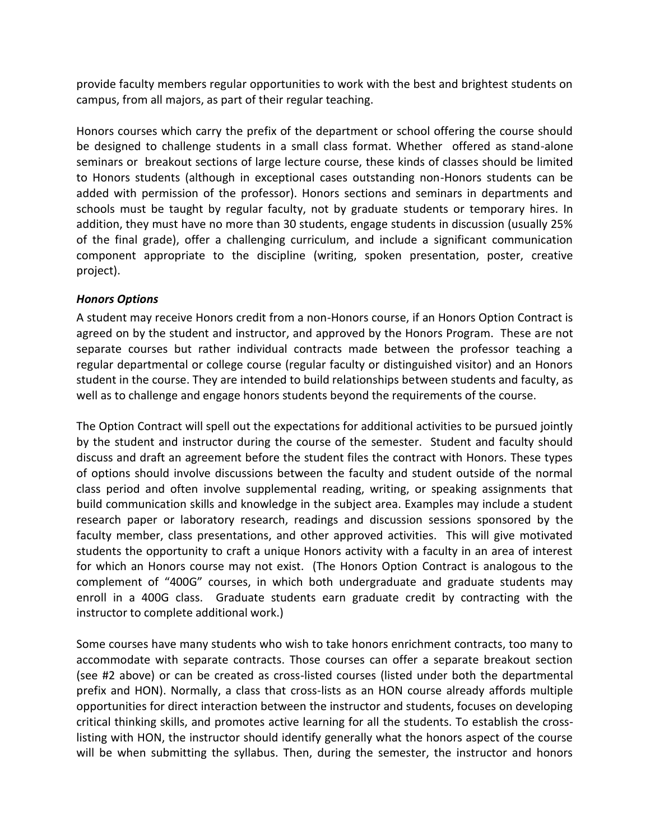provide faculty members regular opportunities to work with the best and brightest students on campus, from all majors, as part of their regular teaching.

Honors courses which carry the prefix of the department or school offering the course should be designed to challenge students in a small class format. Whether offered as stand-alone seminars or breakout sections of large lecture course, these kinds of classes should be limited to Honors students (although in exceptional cases outstanding non-Honors students can be added with permission of the professor). Honors sections and seminars in departments and schools must be taught by regular faculty, not by graduate students or temporary hires. In addition, they must have no more than 30 students, engage students in discussion (usually 25% of the final grade), offer a challenging curriculum, and include a significant communication component appropriate to the discipline (writing, spoken presentation, poster, creative project).

### *Honors Options*

A student may receive Honors credit from a non-Honors course, if an Honors Option Contract is agreed on by the student and instructor, and approved by the Honors Program. These are not separate courses but rather individual contracts made between the professor teaching a regular departmental or college course (regular faculty or distinguished visitor) and an Honors student in the course. They are intended to build relationships between students and faculty, as well as to challenge and engage honors students beyond the requirements of the course.

The Option Contract will spell out the expectations for additional activities to be pursued jointly by the student and instructor during the course of the semester. Student and faculty should discuss and draft an agreement before the student files the contract with Honors. These types of options should involve discussions between the faculty and student outside of the normal class period and often involve supplemental reading, writing, or speaking assignments that build communication skills and knowledge in the subject area. Examples may include a student research paper or laboratory research, readings and discussion sessions sponsored by the faculty member, class presentations, and other approved activities. This will give motivated students the opportunity to craft a unique Honors activity with a faculty in an area of interest for which an Honors course may not exist. (The Honors Option Contract is analogous to the complement of "400G" courses, in which both undergraduate and graduate students may enroll in a 400G class. Graduate students earn graduate credit by contracting with the instructor to complete additional work.)

Some courses have many students who wish to take honors enrichment contracts, too many to accommodate with separate contracts. Those courses can offer a separate breakout section (see #2 above) or can be created as cross-listed courses (listed under both the departmental prefix and HON). Normally, a class that cross-lists as an HON course already affords multiple opportunities for direct interaction between the instructor and students, focuses on developing critical thinking skills, and promotes active learning for all the students. To establish the crosslisting with HON, the instructor should identify generally what the honors aspect of the course will be when submitting the syllabus. Then, during the semester, the instructor and honors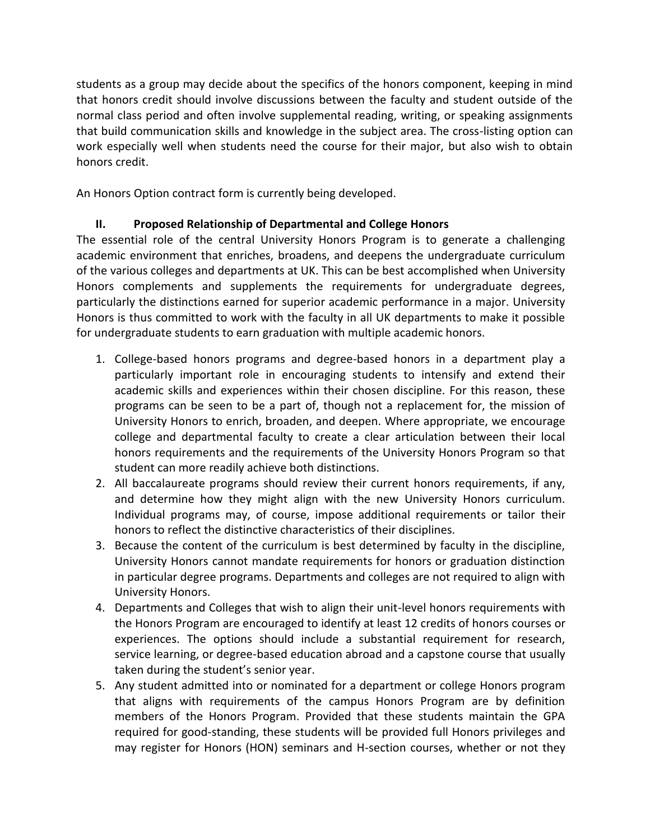students as a group may decide about the specifics of the honors component, keeping in mind that honors credit should involve discussions between the faculty and student outside of the normal class period and often involve supplemental reading, writing, or speaking assignments that build communication skills and knowledge in the subject area. The cross-listing option can work especially well when students need the course for their major, but also wish to obtain honors credit.

An Honors Option contract form is currently being developed.

## **II. Proposed Relationship of Departmental and College Honors**

The essential role of the central University Honors Program is to generate a challenging academic environment that enriches, broadens, and deepens the undergraduate curriculum of the various colleges and departments at UK. This can be best accomplished when University Honors complements and supplements the requirements for undergraduate degrees, particularly the distinctions earned for superior academic performance in a major. University Honors is thus committed to work with the faculty in all UK departments to make it possible for undergraduate students to earn graduation with multiple academic honors.

- 1. College-based honors programs and degree-based honors in a department play a particularly important role in encouraging students to intensify and extend their academic skills and experiences within their chosen discipline. For this reason, these programs can be seen to be a part of, though not a replacement for, the mission of University Honors to enrich, broaden, and deepen. Where appropriate, we encourage college and departmental faculty to create a clear articulation between their local honors requirements and the requirements of the University Honors Program so that student can more readily achieve both distinctions.
- 2. All baccalaureate programs should review their current honors requirements, if any, and determine how they might align with the new University Honors curriculum. Individual programs may, of course, impose additional requirements or tailor their honors to reflect the distinctive characteristics of their disciplines.
- 3. Because the content of the curriculum is best determined by faculty in the discipline, University Honors cannot mandate requirements for honors or graduation distinction in particular degree programs. Departments and colleges are not required to align with University Honors.
- 4. Departments and Colleges that wish to align their unit-level honors requirements with the Honors Program are encouraged to identify at least 12 credits of honors courses or experiences. The options should include a substantial requirement for research, service learning, or degree-based education abroad and a capstone course that usually taken during the student's senior year.
- 5. Any student admitted into or nominated for a department or college Honors program that aligns with requirements of the campus Honors Program are by definition members of the Honors Program. Provided that these students maintain the GPA required for good-standing, these students will be provided full Honors privileges and may register for Honors (HON) seminars and H-section courses, whether or not they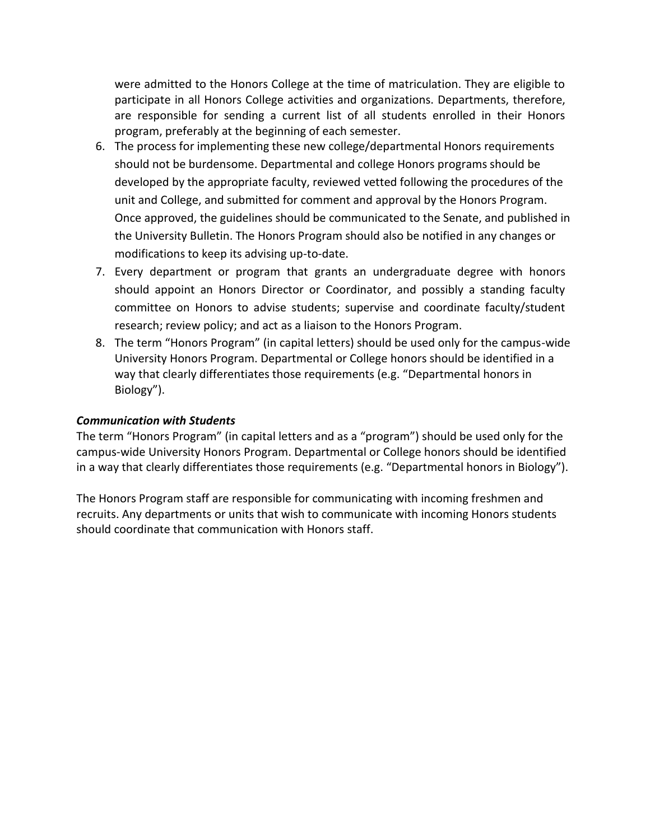were admitted to the Honors College at the time of matriculation. They are eligible to participate in all Honors College activities and organizations. Departments, therefore, are responsible for sending a current list of all students enrolled in their Honors program, preferably at the beginning of each semester.

- 6. The process for implementing these new college/departmental Honors requirements should not be burdensome. Departmental and college Honors programs should be developed by the appropriate faculty, reviewed vetted following the procedures of the unit and College, and submitted for comment and approval by the Honors Program. Once approved, the guidelines should be communicated to the Senate, and published in the University Bulletin. The Honors Program should also be notified in any changes or modifications to keep its advising up-to-date.
- 7. Every department or program that grants an undergraduate degree with honors should appoint an Honors Director or Coordinator, and possibly a standing faculty committee on Honors to advise students; supervise and coordinate faculty/student research; review policy; and act as a liaison to the Honors Program.
- 8. The term "Honors Program" (in capital letters) should be used only for the campus-wide University Honors Program. Departmental or College honors should be identified in a way that clearly differentiates those requirements (e.g. "Departmental honors in Biology").

### *Communication with Students*

The term "Honors Program" (in capital letters and as a "program") should be used only for the campus-wide University Honors Program. Departmental or College honors should be identified in a way that clearly differentiates those requirements (e.g. "Departmental honors in Biology").

The Honors Program staff are responsible for communicating with incoming freshmen and recruits. Any departments or units that wish to communicate with incoming Honors students should coordinate that communication with Honors staff.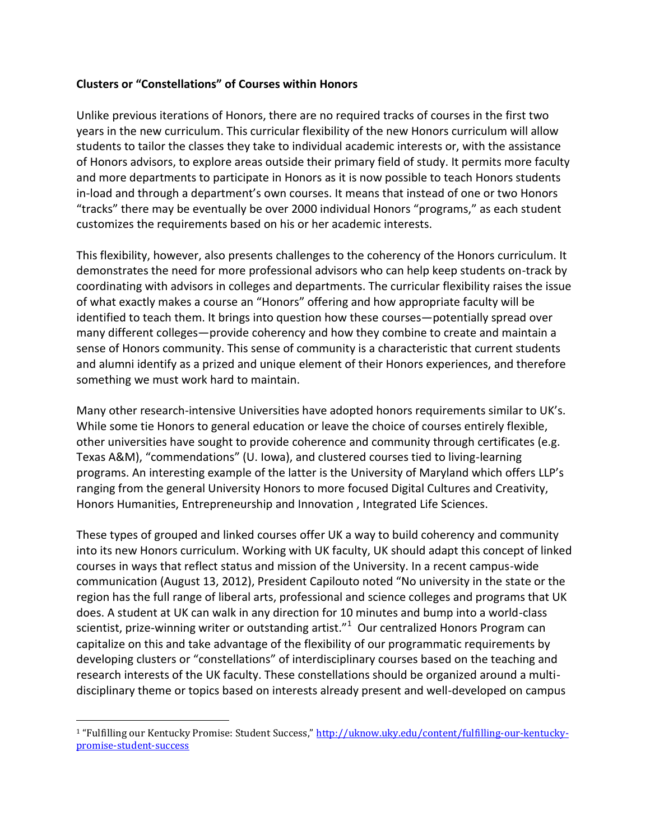### **Clusters or "Constellations" of Courses within Honors**

Unlike previous iterations of Honors, there are no required tracks of courses in the first two years in the new curriculum. This curricular flexibility of the new Honors curriculum will allow students to tailor the classes they take to individual academic interests or, with the assistance of Honors advisors, to explore areas outside their primary field of study. It permits more faculty and more departments to participate in Honors as it is now possible to teach Honors students in-load and through a department's own courses. It means that instead of one or two Honors "tracks" there may be eventually be over 2000 individual Honors "programs," as each student customizes the requirements based on his or her academic interests.

This flexibility, however, also presents challenges to the coherency of the Honors curriculum. It demonstrates the need for more professional advisors who can help keep students on-track by coordinating with advisors in colleges and departments. The curricular flexibility raises the issue of what exactly makes a course an "Honors" offering and how appropriate faculty will be identified to teach them. It brings into question how these courses—potentially spread over many different colleges—provide coherency and how they combine to create and maintain a sense of Honors community. This sense of community is a characteristic that current students and alumni identify as a prized and unique element of their Honors experiences, and therefore something we must work hard to maintain.

Many other research-intensive Universities have adopted honors requirements similar to UK's. While some tie Honors to general education or leave the choice of courses entirely flexible, other universities have sought to provide coherence and community through certificates (e.g. Texas A&M), "commendations" (U. Iowa), and clustered courses tied to living-learning programs. An interesting example of the latter is the University of Maryland which offers LLP's ranging from the general University Honors to more focused Digital Cultures and Creativity, Honors Humanities, Entrepreneurship and Innovation , Integrated Life Sciences.

These types of grouped and linked courses offer UK a way to build coherency and community into its new Honors curriculum. Working with UK faculty, UK should adapt this concept of linked courses in ways that reflect status and mission of the University. In a recent campus-wide communication (August 13, 2012), President Capilouto noted "No university in the state or the region has the full range of liberal arts, professional and science colleges and programs that UK does. A student at UK can walk in any direction for 10 minutes and bump into a world-class scientist, prize-winning writer or outstanding artist." $1$  Our centralized Honors Program can capitalize on this and take advantage of the flexibility of our programmatic requirements by developing clusters or "constellations" of interdisciplinary courses based on the teaching and research interests of the UK faculty. These constellations should be organized around a multidisciplinary theme or topics based on interests already present and well-developed on campus

 $\overline{a}$ 

<sup>1</sup> "Fulfilling our Kentucky Promise: Student Success," [http://uknow.uky.edu/content/fulfilling-our-kentucky](http://uknow.uky.edu/content/fulfilling-our-kentucky-promise-student-success)[promise-student-success](http://uknow.uky.edu/content/fulfilling-our-kentucky-promise-student-success)